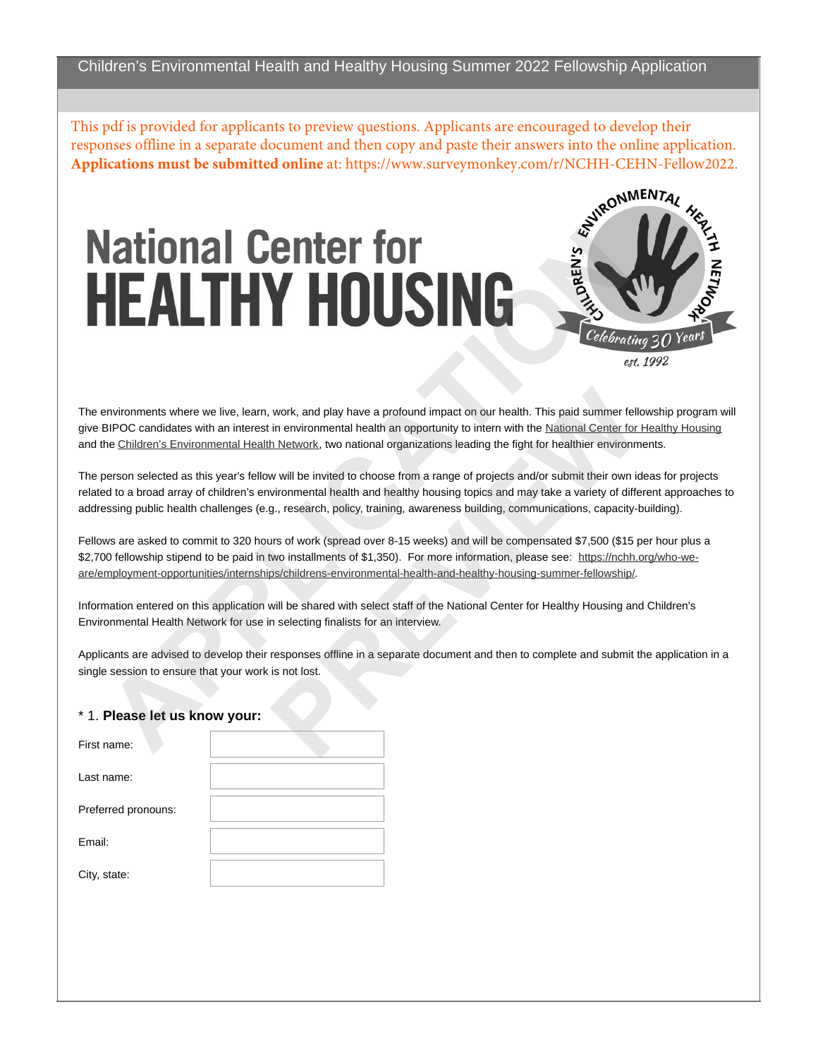This pdf is provided for applicants to preview questions. Applicants are encouraged to develop their responses offline in a separate document and then copy and paste their answers into the online application.

## **APPENDIXMENT [C](http://www.cehn.org)ONSULTER CONSULTERING CONSULTERING CONSULTERING CONSULTERING CONSULTERING CONSULTERING CONSULTERING CONSULTERING CONSULTERING CONSULTERING CONSULTERING CONSULTERING CONSULTERING CONSULTERING CONSULTERING CON**



The environments where we live, learn, work, and play have a profound impact on our health. This paid summer fellowship program will give BIPOC candidates with an interest in environmental health an opportunity to intern with the [National Center for Healthy Housing](http://www.nchh.org) and the Children's Environmental Health Network, two national organizations leading the fight for healthier environments.

The person selected as this year's fellow will be invited to choose from a range of projects and/or submit their own ideas for projects related to a broad array of children's environmental health and healthy housing topics and may take a variety of different approaches to addressing public health challenges (e.g., research, policy, training, awareness building, communications, capacity-building). work, and play have a profound impact on our health. This paid summer fells<br>in environmental health an opportunity to intern with the National Center for I<br>h Network, two national organizations leading the fight for health

Fellows are asked to commit to 320 hours of work (spread over 8-15 weeks) and will be compensated \$7,500 (\$15 per hour plus a \$2,700 fellowship stipend to be paid in two installments of \$1,350). For more information, please see: https://nchh.org/who-weare/employment-opportunities/internships/childrens-environmental-health-and-healthy-housing-summer-fellowship/.

Information entered on this application will be shared with select staff of the National Center for Healthy Housing and Children's Environmental Health Network for use in selecting finalists for an interview.

Applicants are advised to develop their responses offline in a separate document and then to complete and submit the application in a single session to ensure that your work is not lost.

## \* 1. **Please let us know your:**

| First name:         |  |
|---------------------|--|
| Last name:          |  |
| Preferred pronouns: |  |
| Email:              |  |
| City, state:        |  |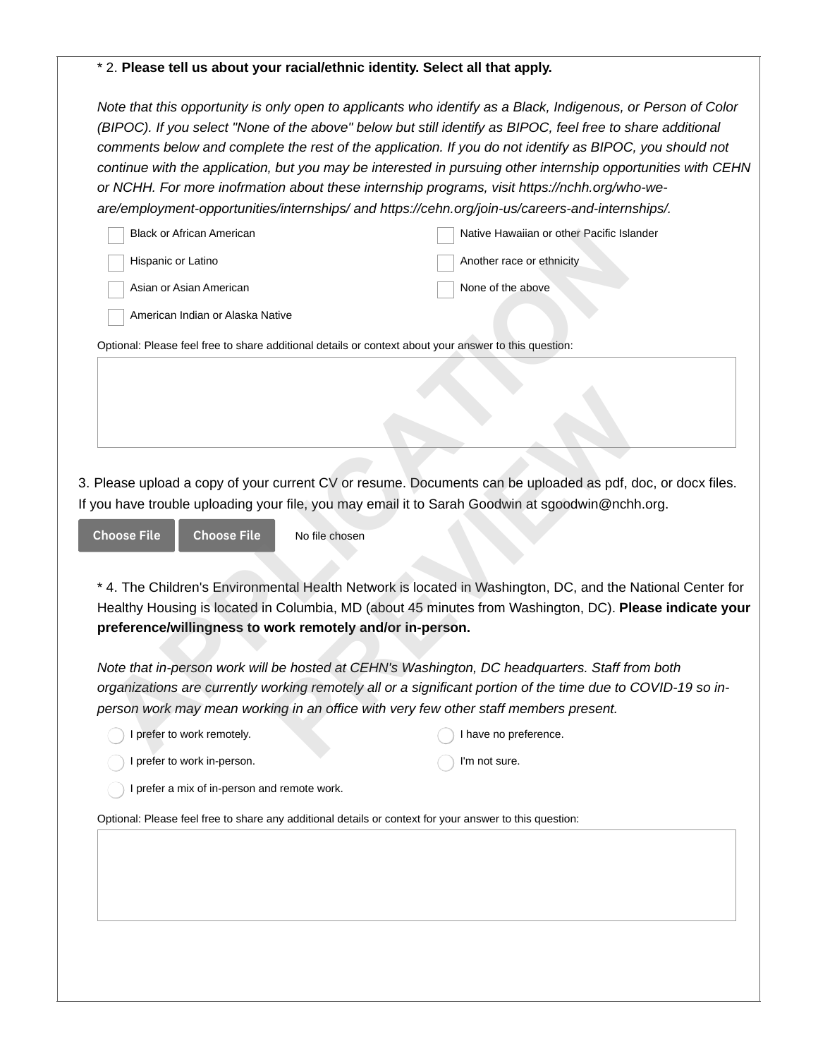## \* 2. **Please tell us about your racial/ethnic identity. Select all that apply.**

*Note that this opportunity is only open to applicants who identify as a Black, Indigenous, or Person of Color (BIPOC). If you select "None of the above" below but still identify as BIPOC, feel free to share additional comments below and complete the rest of the application. If you do not identify as BIPOC, you should not continue with the application, but you may be interested in pursuing other internship opportunities with CEHN or NCHH. For more inofrmation about these internship programs, visit https://nchh.org/who-weare/employment-opportunities/internships/ and https://cehn.org/join-us/careers-and-internships/.*

|            | <b>Black or African American</b> |                                                                                                                                                                                                                                                                                                 |                           | Native Hawaiian or other Pacific Islander |  |
|------------|----------------------------------|-------------------------------------------------------------------------------------------------------------------------------------------------------------------------------------------------------------------------------------------------------------------------------------------------|---------------------------|-------------------------------------------|--|
|            | Hispanic or Latino               |                                                                                                                                                                                                                                                                                                 | Another race or ethnicity |                                           |  |
|            | Asian or Asian American          |                                                                                                                                                                                                                                                                                                 | None of the above         |                                           |  |
|            | American Indian or Alaska Native |                                                                                                                                                                                                                                                                                                 |                           |                                           |  |
|            |                                  | Optional: Please feel free to share additional details or context about your answer to this question:                                                                                                                                                                                           |                           |                                           |  |
|            |                                  |                                                                                                                                                                                                                                                                                                 |                           |                                           |  |
| hoose File | <b>Choose File</b>               | Please upload a copy of your current CV or resume. Documents can be uploaded as pdf, doc, or do<br>ou have trouble uploading your file, you may email it to Sarah Goodwin at sgoodwin@nchh.org.<br>No file chosen                                                                               |                           |                                           |  |
|            |                                  |                                                                                                                                                                                                                                                                                                 |                           |                                           |  |
|            |                                  | * 4. The Children's Environmental Health Network is located in Washington, DC, and the National O<br>Healthy Housing is located in Columbia, MD (about 45 minutes from Washington, DC). Please indi<br>preference/willingness to work remotely and/or in-person.                                |                           |                                           |  |
|            |                                  | Note that in-person work will be hosted at CEHN's Washington, DC headquarters. Staff from both<br>organizations are currently working remotely all or a significant portion of the time due to COVID-1!<br>person work may mean working in an office with very few other staff members present. |                           |                                           |  |
|            | I prefer to work remotely.       |                                                                                                                                                                                                                                                                                                 | I have no preference.     |                                           |  |
|            |                                  |                                                                                                                                                                                                                                                                                                 |                           |                                           |  |

3. Please upload a copy of your current CV or resume. Documents can be uploaded as pdf, doc, or docx files. If you have trouble uploading your file, you may email it to Sarah Goodwin at sgoodwin@nchh.org.

\* 4. The Children's Environmental Health Network is located in Washington, DC, and the National Center for Healthy Housing is located in Columbia, MD (about 45 minutes from Washington, DC). **Please indicate your preference/willingness to work remotely and/or in-person.** 

*Note that in-person work will be hosted at CEHN's Washington, DC headquarters. Staff from both organizations are currently working remotely all or a significant portion of the time due to COVID-19 so inperson work may mean working in an office with very few other staff members present.* current CV or resume. Documents can be uploaded as pdf, dour file, you may email it to Sarah Goodwin at sgoodwin@nchh.<br>
No file chosen<br>
ental Health Network is located in Washington, DC, and the Na<br>
Columbia, MD (about 45

I'm not sure.

I prefer to work in-person.

I prefer a mix of in-person and remote work.

Optional: Please feel free to share any additional details or context for your answer to this question: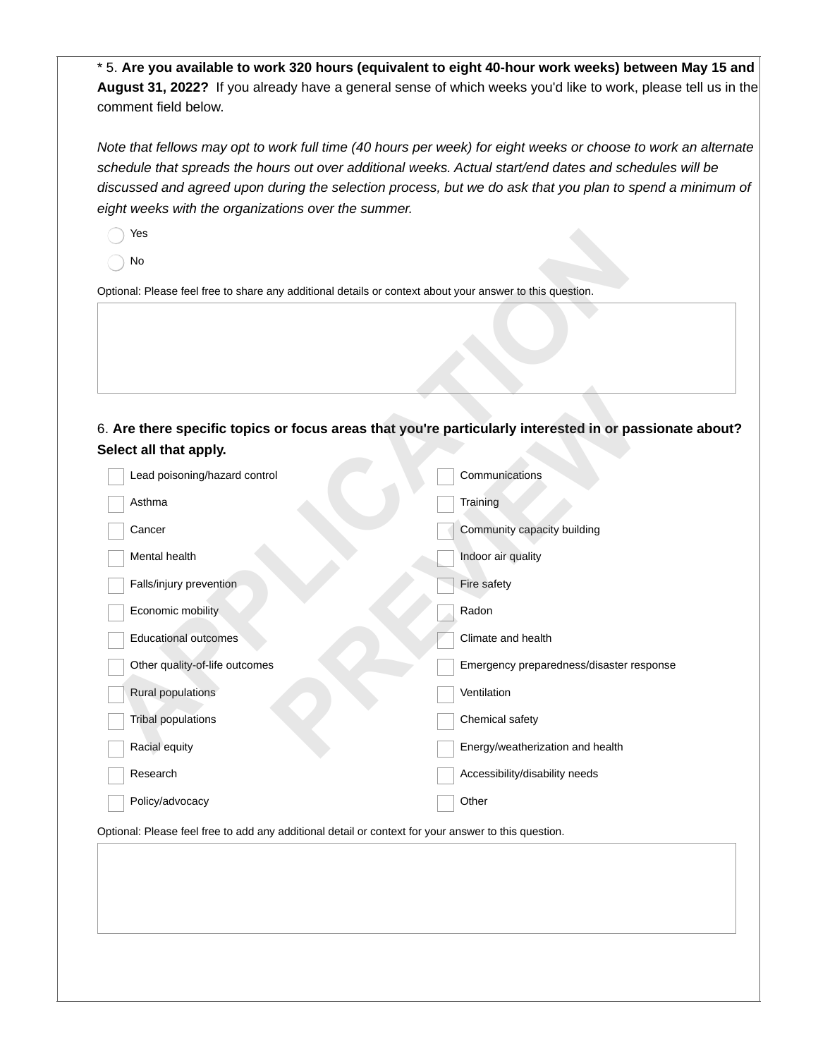\* 5. **Are you available to work 320 hours (equivalent to eight 40-hour work weeks) between May 15 and August 31, 2022?** If you already have a general sense of which weeks you'd like to work, please tell us in the comment field below.

*Note that fellows may opt to work full time (40 hours per week) for eight weeks or choose to work an alternate schedule that spreads the hours out over additional weeks. Actual start/end dates and schedules will be discussed and agreed upon during the selection process, but we do ask that you plan to spend a minimum of eight weeks with the organizations over the summer.* 

Yes

| Yes                                                                                                       |                                                                                                      |
|-----------------------------------------------------------------------------------------------------------|------------------------------------------------------------------------------------------------------|
| No                                                                                                        |                                                                                                      |
| Optional: Please feel free to share any additional details or context about your answer to this question. |                                                                                                      |
|                                                                                                           |                                                                                                      |
|                                                                                                           |                                                                                                      |
|                                                                                                           |                                                                                                      |
|                                                                                                           |                                                                                                      |
|                                                                                                           | 6. Are there specific topics or focus areas that you're particularly interested in or passionate abo |
| Select all that apply.                                                                                    |                                                                                                      |
| Lead poisoning/hazard control                                                                             | Communications                                                                                       |
| Asthma                                                                                                    | Training                                                                                             |
| Cancer                                                                                                    | Community capacity building                                                                          |
| Mental health                                                                                             | Indoor air quality                                                                                   |
| Falls/injury prevention                                                                                   | Fire safety                                                                                          |
| Economic mobility                                                                                         | Radon                                                                                                |
| <b>Educational outcomes</b>                                                                               | Climate and health                                                                                   |
| Other quality-of-life outcomes                                                                            | Emergency preparedness/disaster response                                                             |
| Rural populations                                                                                         | Ventilation                                                                                          |
| <b>Tribal populations</b>                                                                                 | Chemical safety                                                                                      |
| Racial equity                                                                                             | Energy/weatherization and health                                                                     |
| Research                                                                                                  | Accessibility/disability needs                                                                       |
| Policy/advocacy                                                                                           | Other                                                                                                |
|                                                                                                           |                                                                                                      |

Optional: Please feel free to add any additional detail or context for your answer to this question.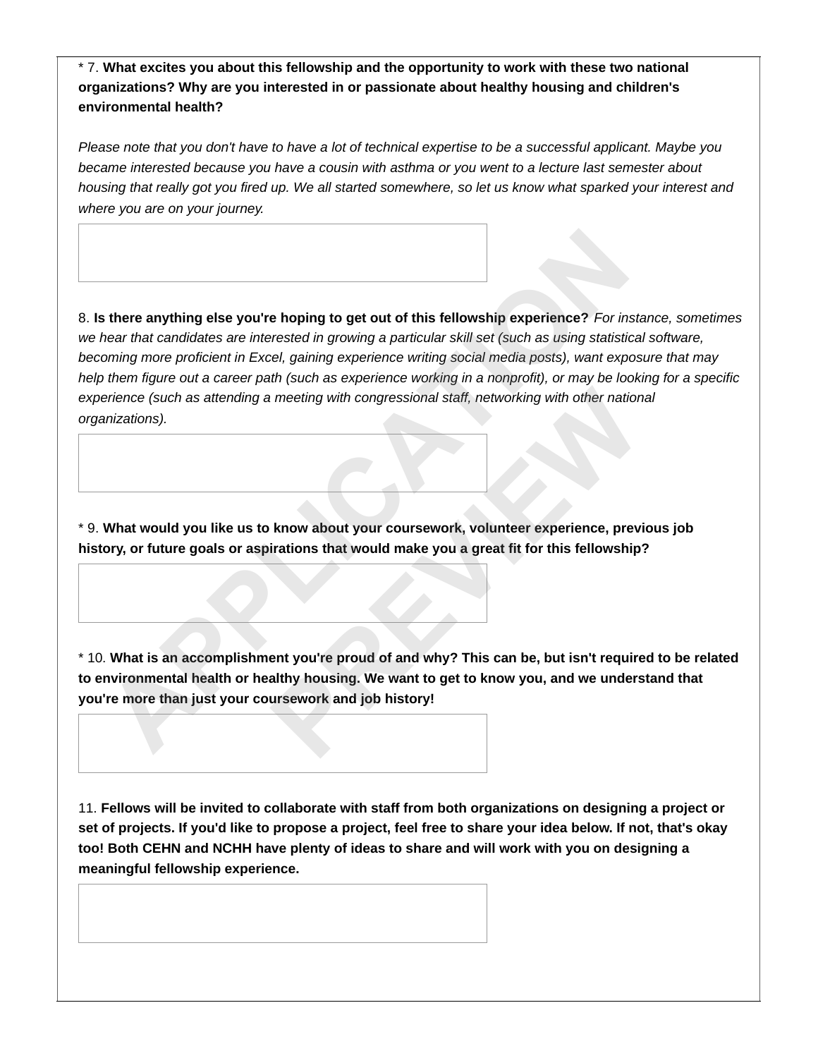\* 7. **What excites you about this fellowship and the opportunity to work with these two national organizations? Why are you interested in or passionate about healthy housing and children's environmental health?**

*Please note that you don't have to have a lot of technical expertise to be a successful applicant. Maybe you became interested because you have a cousin with asthma or you went to a lecture last semester about housing that really got you fired up. We all started somewhere, so let us know what sparked your interest and where you are on your journey.*

8. **Is there anything else you're hoping to get out of this fellowship experience?** *For instance, sometimes we hear that candidates are interested in growing a particular skill set (such as using statistical software, becoming more proficient in Excel, gaining experience writing social media posts), want exposure that may help them figure out a career path (such as experience working in a nonprofit), or may be looking for a specific experience (such as attending a meeting with congressional staff, networking with other national organizations).* **APPENDIATE ASSEMANT ASSEM CONTROVIDED INTO THE CONDUCT THEORY CONDUCT THEORY CONDUCT THEORY CONDUCT THEORY CONDUCT AND THEORY CONDUCT AND THEORY CONDUCT THEORY CONDUCT THEORY CONDUCTION THEORY CONDUCTION THEORY CONDUCT TH** 

\* 9. **What would you like us to know about your coursework, volunteer experience, previous job history, or future goals or aspirations that would make you a great fit for this fellowship?**

\* 10. **What is an accomplishment you're proud of and why? This can be, but isn't required to be related to environmental health or healthy housing. We want to get to know you, and we understand that you're more than just your coursework and job history! PREVIEW**

11. **Fellows will be invited to collaborate with staff from both organizations on designing a project or set of projects. If you'd like to propose a project, feel free to share your idea below. If not, that's okay too! Both CEHN and NCHH have plenty of ideas to share and will work with you on designing a meaningful fellowship experience.**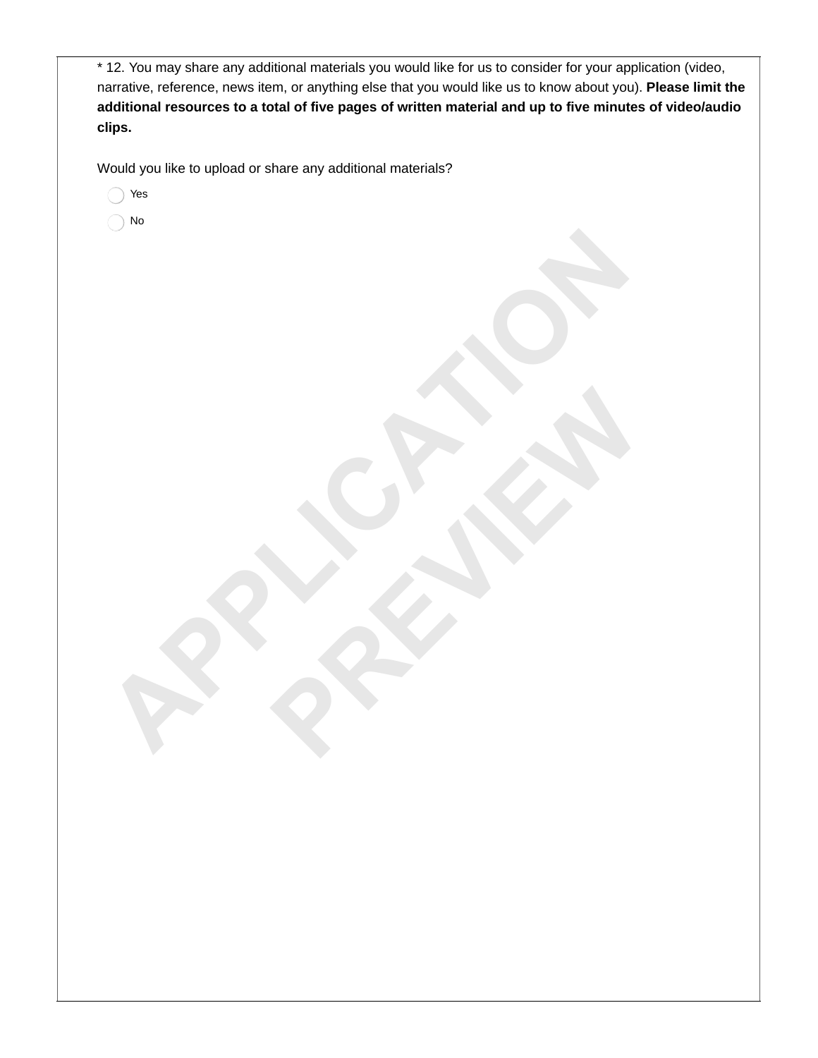| * 12. You may share any additional materials you would like for us to consider for your application (video,<br>narrative, reference, news item, or anything else that you would like us to know about you). Please limit the<br>additional resources to a total of five pages of written material and up to five minutes of video/audio<br>clips. |
|---------------------------------------------------------------------------------------------------------------------------------------------------------------------------------------------------------------------------------------------------------------------------------------------------------------------------------------------------|
| Would you like to upload or share any additional materials?                                                                                                                                                                                                                                                                                       |
| Yes                                                                                                                                                                                                                                                                                                                                               |
| No                                                                                                                                                                                                                                                                                                                                                |
|                                                                                                                                                                                                                                                                                                                                                   |
|                                                                                                                                                                                                                                                                                                                                                   |
|                                                                                                                                                                                                                                                                                                                                                   |
|                                                                                                                                                                                                                                                                                                                                                   |
|                                                                                                                                                                                                                                                                                                                                                   |
|                                                                                                                                                                                                                                                                                                                                                   |
|                                                                                                                                                                                                                                                                                                                                                   |